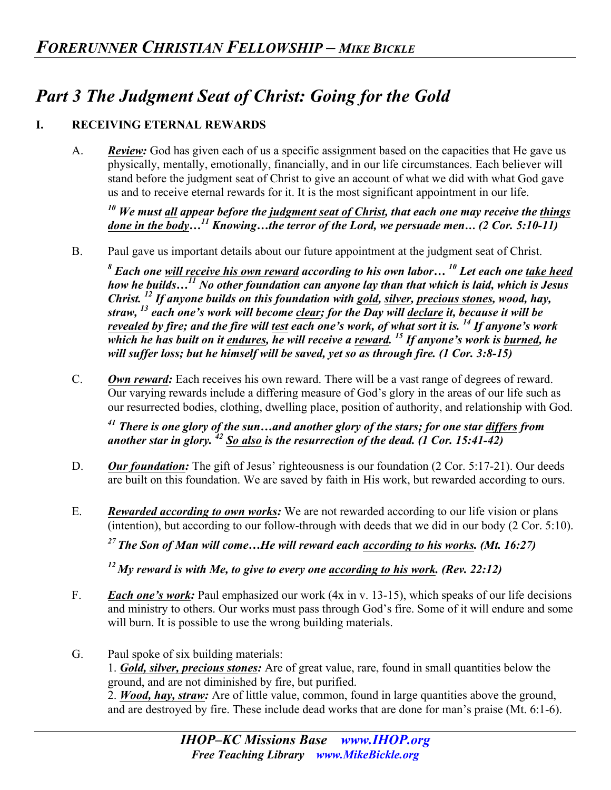# *Part 3 The Judgment Seat of Christ: Going for the Gold*

#### **I. RECEIVING ETERNAL REWARDS**

A. *Review:* God has given each of us a specific assignment based on the capacities that He gave us physically, mentally, emotionally, financially, and in our life circumstances. Each believer will stand before the judgment seat of Christ to give an account of what we did with what God gave us and to receive eternal rewards for it. It is the most significant appointment in our life.

*<sup>10</sup> We must all appear before the judgment seat of Christ, that each one may receive the things done in the body…11 Knowing…the terror of the Lord, we persuade men… (2 Cor. 5:10-11)* 

B. Paul gave us important details about our future appointment at the judgment seat of Christ.

*<sup>8</sup> Each one will receive his own reward according to his own labor… 10 Let each one take heed how he builds…11 No other foundation can anyone lay than that which is laid, which is Jesus Christ. 12 If anyone builds on this foundation with gold, silver, precious stones, wood, hay, straw, <sup>13</sup> each one's work will become clear; for the Day will declare it, because it will be revealed by fire; and the fire will test each one's work, of what sort it is. 14 If anyone's work which he has built on it endures, he will receive a reward. 15 If anyone's work is burned, he will suffer loss; but he himself will be saved, yet so as through fire. (1 Cor. 3:8-15)*

C. *Own reward:* Each receives his own reward. There will be a vast range of degrees of reward. Our varying rewards include a differing measure of God's glory in the areas of our life such as our resurrected bodies, clothing, dwelling place, position of authority, and relationship with God.

*<sup>41</sup> There is one glory of the sun…and another glory of the stars; for one star differs from another star in glory. <sup>42</sup> So also is the resurrection of the dead. (1 Cor. 15:41-42)* 

- D. *Our foundation:* The gift of Jesus' righteousness is our foundation (2 Cor. 5:17-21). Our deeds are built on this foundation. We are saved by faith in His work, but rewarded according to ours.
- E. *Rewarded according to own works:* We are not rewarded according to our life vision or plans (intention), but according to our follow-through with deeds that we did in our body (2 Cor. 5:10).

*27 The Son of Man will come…He will reward each according to his works. (Mt. 16:27)* 

*12 My reward is with Me, to give to every one according to his work. (Rev. 22:12)* 

- F. *Each one's work:* Paul emphasized our work (4x in v. 13-15), which speaks of our life decisions and ministry to others. Our works must pass through God's fire. Some of it will endure and some will burn. It is possible to use the wrong building materials.
- G. Paul spoke of six building materials:

1. *Gold, silver, precious stones:* Are of great value, rare, found in small quantities below the ground, and are not diminished by fire, but purified.

2. *Wood, hay, straw:* Are of little value, common, found in large quantities above the ground, and are destroyed by fire. These include dead works that are done for man's praise (Mt. 6:1-6).